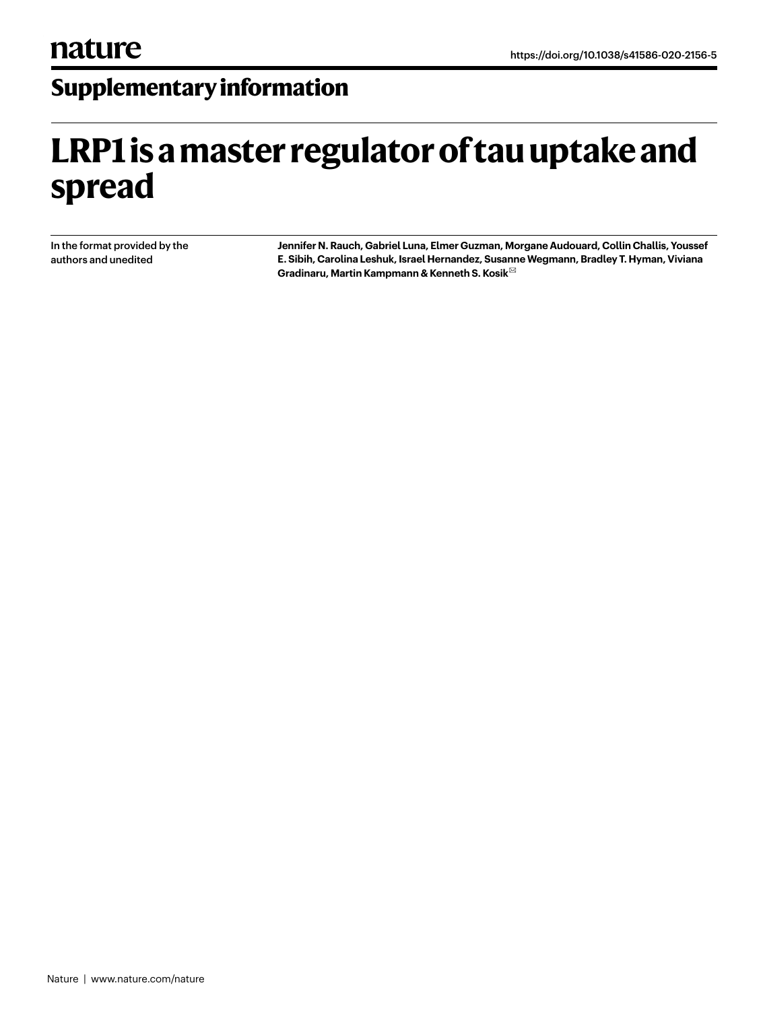## **Supplementary information**

# **LRP1 is a master regulator of tau uptake and spread**

In the format provided by the authors and unedited

**Jennifer N. Rauch, Gabriel Luna, Elmer Guzman, Morgane Audouard, Collin Challis, Youssef E. Sibih, Carolina Leshuk, Israel Hernandez, Susanne Wegmann, Bradley T. Hyman, Viviana Gradinaru, Martin Kampmann & Kenneth S. Kosik** ✉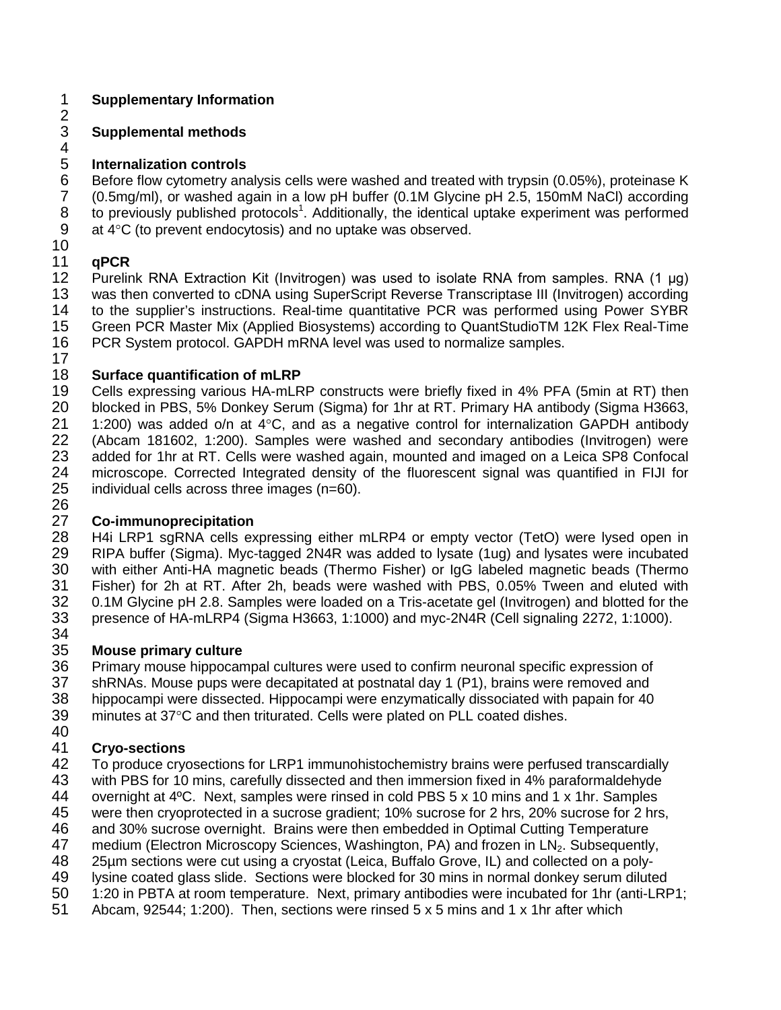## 1 **Supplementary Information**

#### $rac{2}{3}$ 3 **Supplemental methods**

# 4<br>5

5 **Internalization controls**

6 Before flow cytometry analysis cells were washed and treated with trypsin (0.05%), proteinase K<br>7 (0.5mg/ml), or washed again in a low pH buffer (0.1M Glycine pH 2.5, 150mM NaCl) according 7 (0.5mg/ml), or washed again in a low pH buffer (0.1M Glycine pH 2.5, 150mM NaCl) according 8 to previously published protocols<sup>1</sup>. Additionally, the identical uptake experiment was performed 9 at  $4^{\circ}$ C (to prevent endocytosis) and no uptake was observed.

## 10<br>11

11 **qPCR** 12 Purelink RNA Extraction Kit (Invitrogen) was used to isolate RNA from samples. RNA (1 μg)<br>13 was then converted to cDNA using SuperScript Reverse Transcriptase III (Invitrogen) according 13 was then converted to cDNA using SuperScript Reverse Transcriptase III (Invitrogen) according<br>14 to the supplier's instructions. Real-time quantitative PCR was performed using Power SYBR to the supplier's instructions. Real-time quantitative PCR was performed using Power SYBR 15 Green PCR Master Mix (Applied Biosystems) according to QuantStudioTM 12K Flex Real-Time 16 PCR System protocol. GAPDH mRNA level was used to normalize samples.

# $\frac{17}{18}$

18 **Surface quantification of mLRP** 19 Cells expressing various HA-mLRP constructs were briefly fixed in 4% PFA (5min at RT) then<br>20 blocked in PBS, 5% Donkey Serum (Sigma) for 1hr at RT. Primary HA antibody (Sigma H3663, 20 blocked in PBS, 5% Donkey Serum (Sigma) for 1hr at RT. Primary HA antibody (Sigma H3663, 21  $-$  1:200) was added o/n at 4°C. and as a negative control for internalization GAPDH antibody 21 1:200) was added o/n at 4°C, and as a negative control for internalization GAPDH antibody<br>22 (Abcam 181602, 1:200), Samples were washed and secondary antibodies (Invitrogen) were 22 (Abcam 181602, 1:200). Samples were washed and secondary antibodies (Invitrogen) were<br>23 added for 1hr at RT. Cells were washed again, mounted and imaged on a Leica SP8 Confocal 23 added for 1hr at RT. Cells were washed again, mounted and imaged on a Leica SP8 Confocal<br>24 microscope. Corrected Integrated density of the fluorescent signal was quantified in FIJI for 24 microscope. Corrected Integrated density of the fluorescent signal was quantified in FIJI for 25 individual cells across three images (n=60).

26<br>27

27 **Co-immunoprecipitation** 28 H4i LRP1 sgRNA cells expressing either mLRP4 or empty vector (TetO) were lysed open in<br>29 RIPA buffer (Sigma). Myc-tagged 2N4R was added to lysate (1ug) and lysates were incubated RIPA buffer (Sigma). Myc-tagged 2N4R was added to lysate (1ug) and lysates were incubated 30 with either Anti-HA magnetic beads (Thermo Fisher) or IgG labeled magnetic beads (Thermo 31 Fisher) for 2h at RT. After 2h, beads were washed with PBS, 0.05% Tween and eluted with 32 0.1M Glycine pH 2.8. Samples were loaded on a Tris-acetate gel (Invitrogen) and blotted for the<br>33 presence of HA-mLRP4 (Sigma H3663, 1:1000) and myc-2N4R (Cell signaling 2272, 1:1000). 33 presence of HA-mLRP4 (Sigma H3663, 1:1000) and myc-2N4R (Cell signaling 2272, 1:1000).

34<br>35

35 **Mouse primary culture** 36 Primary mouse hippocampal cultures were used to confirm neuronal specific expression of 37 ShRNAs, Mouse pups were decapitated at postnatal day 1 (P1), brains were removed and shRNAs. Mouse pups were decapitated at postnatal day 1 (P1), brains were removed and 38 hippocampi were dissected. Hippocampi were enzymatically dissociated with papain for 40

39 minutes at 37°C and then triturated. Cells were plated on PLL coated dishes.

## 40<br>41

41 **Cryo-sections** 42 To produce cryosections for LRP1 immunohistochemistry brains were perfused transcardially<br>43 with PBS for 10 mins, carefully dissected and then immersion fixed in 4% paraformaldehyde

43 with PBS for 10 mins, carefully dissected and then immersion fixed in 4% paraformaldehyde<br>44 overnight at 4°C. Next, samples were rinsed in cold PBS 5 x 10 mins and 1 x 1hr. Samples overnight at 4°C. Next, samples were rinsed in cold PBS 5 x 10 mins and 1 x 1hr. Samples

45 were then cryoprotected in a sucrose gradient; 10% sucrose for 2 hrs, 20% sucrose for 2 hrs,

46 and 30% sucrose overnight. Brains were then embedded in Optimal Cutting Temperature

47 medium (Electron Microscopy Sciences, Washington, PA) and frozen in LN<sub>2</sub>. Subsequently,

48 25µm sections were cut using a cryostat (Leica, Buffalo Grove, IL) and collected on a poly-

49 Iysine coated glass slide. Sections were blocked for 30 mins in normal donkey serum diluted<br>50 1:20 in PBTA at room temperature. Next, primary antibodies were incubated for 1hr (anti-LRF

- 1:20 in PBTA at room temperature. Next, primary antibodies were incubated for 1hr (anti-LRP1;
- 51 Abcam, 92544; 1:200). Then, sections were rinsed 5 x 5 mins and 1 x 1hr after which